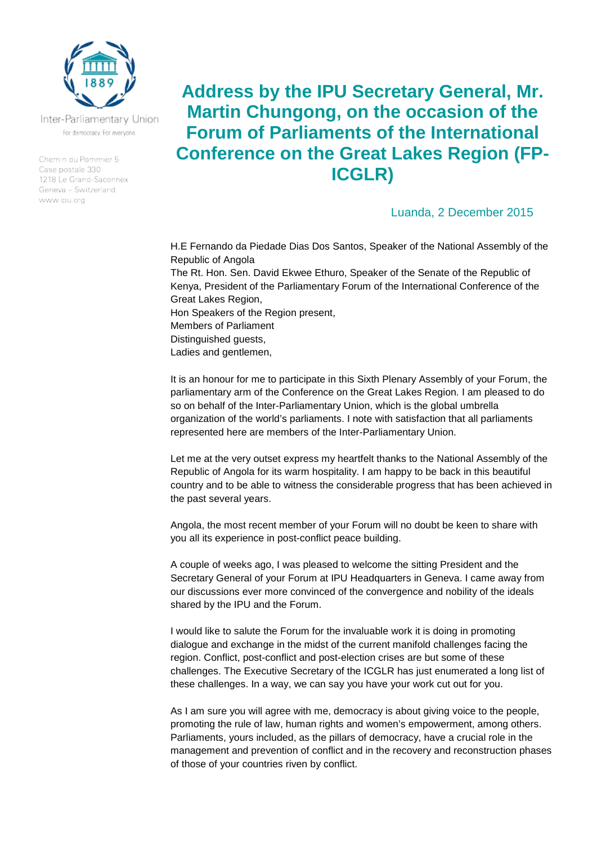

Inter-Parliamentary Union For democracy. For everyone.

Chemin du Pommier 5 Case postale 330 1218 Le Grand-Saconnex Geneva - Switzerland www.ipu.org

## **Address by the IPU Secretary General, Mr. Martin Chungong, on the occasion of the Forum of Parliaments of the International Conference on the Great Lakes Region (FP-ICGLR)**

## Luanda, 2 December 2015

H.E Fernando da Piedade Dias Dos Santos, Speaker of the National Assembly of the Republic of Angola The Rt. Hon. Sen. David Ekwee Ethuro, Speaker of the Senate of the Republic of Kenya, President of the Parliamentary Forum of the International Conference of the Great Lakes Region, Hon Speakers of the Region present, Members of Parliament Distinguished guests, Ladies and gentlemen,

It is an honour for me to participate in this Sixth Plenary Assembly of your Forum, the parliamentary arm of the Conference on the Great Lakes Region. I am pleased to do so on behalf of the Inter-Parliamentary Union, which is the global umbrella organization of the world's parliaments. I note with satisfaction that all parliaments represented here are members of the Inter-Parliamentary Union.

Let me at the very outset express my heartfelt thanks to the National Assembly of the Republic of Angola for its warm hospitality. I am happy to be back in this beautiful country and to be able to witness the considerable progress that has been achieved in the past several years.

Angola, the most recent member of your Forum will no doubt be keen to share with you all its experience in post-conflict peace building.

A couple of weeks ago, I was pleased to welcome the sitting President and the Secretary General of your Forum at IPU Headquarters in Geneva. I came away from our discussions ever more convinced of the convergence and nobility of the ideals shared by the IPU and the Forum.

I would like to salute the Forum for the invaluable work it is doing in promoting dialogue and exchange in the midst of the current manifold challenges facing the region. Conflict, post-conflict and post-election crises are but some of these challenges. The Executive Secretary of the ICGLR has just enumerated a long list of these challenges. In a way, we can say you have your work cut out for you.

As I am sure you will agree with me, democracy is about giving voice to the people, promoting the rule of law, human rights and women's empowerment, among others. Parliaments, yours included, as the pillars of democracy, have a crucial role in the management and prevention of conflict and in the recovery and reconstruction phases of those of your countries riven by conflict.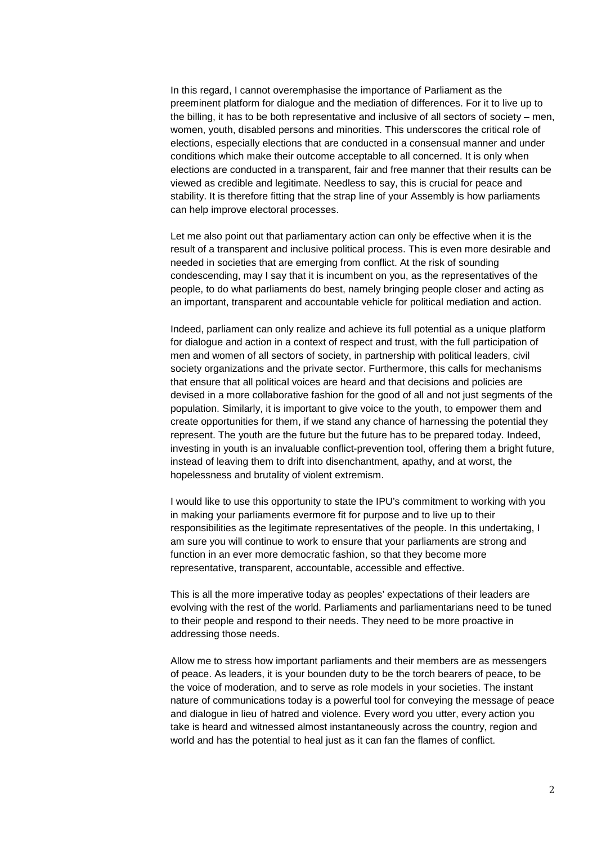In this regard, I cannot overemphasise the importance of Parliament as the preeminent platform for dialogue and the mediation of differences. For it to live up to the billing, it has to be both representative and inclusive of all sectors of society – men, women, youth, disabled persons and minorities. This underscores the critical role of elections, especially elections that are conducted in a consensual manner and under conditions which make their outcome acceptable to all concerned. It is only when elections are conducted in a transparent, fair and free manner that their results can be viewed as credible and legitimate. Needless to say, this is crucial for peace and stability. It is therefore fitting that the strap line of your Assembly is how parliaments can help improve electoral processes.

Let me also point out that parliamentary action can only be effective when it is the result of a transparent and inclusive political process. This is even more desirable and needed in societies that are emerging from conflict. At the risk of sounding condescending, may I say that it is incumbent on you, as the representatives of the people, to do what parliaments do best, namely bringing people closer and acting as an important, transparent and accountable vehicle for political mediation and action.

Indeed, parliament can only realize and achieve its full potential as a unique platform for dialogue and action in a context of respect and trust, with the full participation of men and women of all sectors of society, in partnership with political leaders, civil society organizations and the private sector. Furthermore, this calls for mechanisms that ensure that all political voices are heard and that decisions and policies are devised in a more collaborative fashion for the good of all and not just segments of the population. Similarly, it is important to give voice to the youth, to empower them and create opportunities for them, if we stand any chance of harnessing the potential they represent. The youth are the future but the future has to be prepared today. Indeed, investing in youth is an invaluable conflict-prevention tool, offering them a bright future, instead of leaving them to drift into disenchantment, apathy, and at worst, the hopelessness and brutality of violent extremism.

I would like to use this opportunity to state the IPU's commitment to working with you in making your parliaments evermore fit for purpose and to live up to their responsibilities as the legitimate representatives of the people. In this undertaking, I am sure you will continue to work to ensure that your parliaments are strong and function in an ever more democratic fashion, so that they become more representative, transparent, accountable, accessible and effective.

This is all the more imperative today as peoples' expectations of their leaders are evolving with the rest of the world. Parliaments and parliamentarians need to be tuned to their people and respond to their needs. They need to be more proactive in addressing those needs.

Allow me to stress how important parliaments and their members are as messengers of peace. As leaders, it is your bounden duty to be the torch bearers of peace, to be the voice of moderation, and to serve as role models in your societies. The instant nature of communications today is a powerful tool for conveying the message of peace and dialogue in lieu of hatred and violence. Every word you utter, every action you take is heard and witnessed almost instantaneously across the country, region and world and has the potential to heal just as it can fan the flames of conflict.